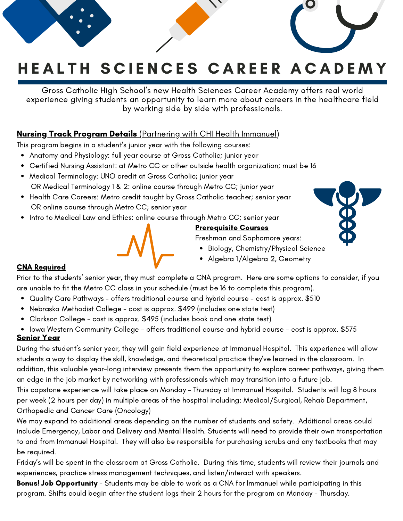# HEALTH SCIENCES CAREER ACADEMY

Gross Catholic High School's new Health Sciences Career Academy offers real world experience giving students an opportunity to learn more about careers in the healthcare field by working side by side with professionals.

### **Nursing Track Program Details** (Partnering with CHI Health Immanuel)

This program begins in a student's junior year with the following courses:

- Anatomy and Physiology: full year course at Gross Catholic; junior year
- Certified Nursing Assistant: at Metro CC or other outside health organization; must be 16
- Medical Terminology: UNO credit at Gross Catholic; junior year OR Medical Terminology 1 & 2: online course through Metro CC; junior year
- Health Care Careers: Metro credit taught by Gross Catholic teacher; senior year OR online course through Metro CC; senior year
- Intro to Medical Law and Ethics: online course through Metro CC; senior year

### Prerequisite Courses

Freshman and Sophomore years:

- Biology, Chemistry/Physical Science
- Algebra 1/Algebra 2, Geometry

#### CNA Required

Prior to the students' senior year, they must complete a CNA program. Here are some options to consider, if you are unable to fit the Metro CC class in your schedule (must be 16 to complete this program).

- Quality Care Pathways offers traditional course and hybrid course cost is approx. \$510
- Nebraska Methodist College cost is approx. \$499 (includes one state test)  $\bullet$
- Clarkson College cost is approx. \$495 (includes book and one state test)
- Iowa Western Community College offers traditional course and hybrid course cost is approx. \$575 Senior Year

During the student's senior year, they will gain field experience at Immanuel Hospital. This experience will allow students a way to display the skill, knowledge, and theoretical practice they've learned in the classroom. In addition, this valuable year-long interview presents them the opportunity to explore career pathways, giving them an edge in the job market by networking with professionals which may transition into a future job.

This capstone experience will take place on Monday - Thursday at Immanuel Hospital. Students will log 8 hours per week (2 hours per day) in multiple areas of the hospital including: Medical/Surgical, Rehab Department, Orthopedic and Cancer Care (Oncology)

We may expand to additional areas depending on the number of students and safety. Additional areas could include Emergency, Labor and Delivery and Mental Health. Students will need to provide their own transportation to and from Immanuel Hospital. They will also be responsible for purchasing scrubs and any textbooks that may be required.

Friday's will be spent in the classroom at Gross Catholic. During this time, students will review their journals and experiences, practice stress management techniques, and listen/interact with speakers.

Bonus! Job Opportunity - Students may be able to work as a CNA for Immanuel while participating in this program. Shifts could begin after the student logs their 2 hours for the program on Monday - Thursday.